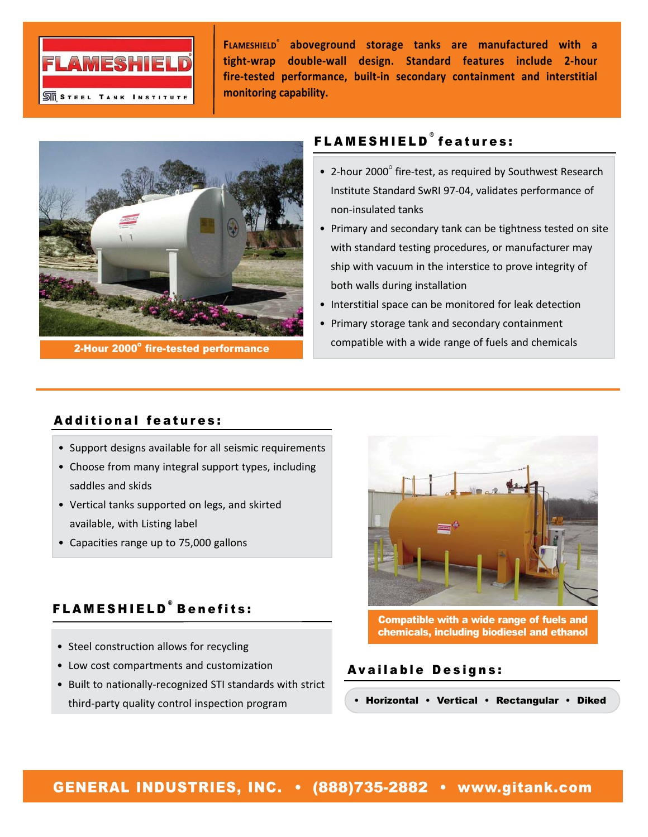

**FLAMESHIELD® aboveground storage tanks are manufactured with a tight‐wrap double‐wall design. Standard features include 2‐hour fire‐tested performance, built‐in secondary containment and interstitial monitoring capability.**



2-Hour 2000° fire-tested performance

## FLAMESHIELD ® features:

- 2-hour 2000 $^{\circ}$  fire-test, as required by Southwest Research Institute Standard SwRI 97‐04, validates performance of non‐insulated tanks
- Primary and secondary tank can be tightness tested on site with standard testing procedures, or manufacturer may ship with vacuum in the interstice to prove integrity of both walls during installation
- Interstitial space can be monitored for leak detection
- Primary storage tank and secondary containment compatible with a wide range of fuels and chemicals

## Additional features:

- Support designs available for all seismic requirements
- Choose from many integral support types, including saddles and skids
- Vertical tanks supported on legs, and skirted available, with Listing label
- Capacities range up to 75,000 gallons

# FLAMESHIELD ® Benefits:

- Steel construction allows for recycling
- Low cost compartments and customization
- Built to nationally‐recognized STI standards with strict third‐party quality control inspection program



Compatible with a wide range of fuels and chemicals, including biodiesel and ethanol

### Available Designs:

• Horizontal • Vertical • Rectangular • Diked

## GENERAL INDUSTRIES, INC. • (888)735-2882 • www.gitank.com